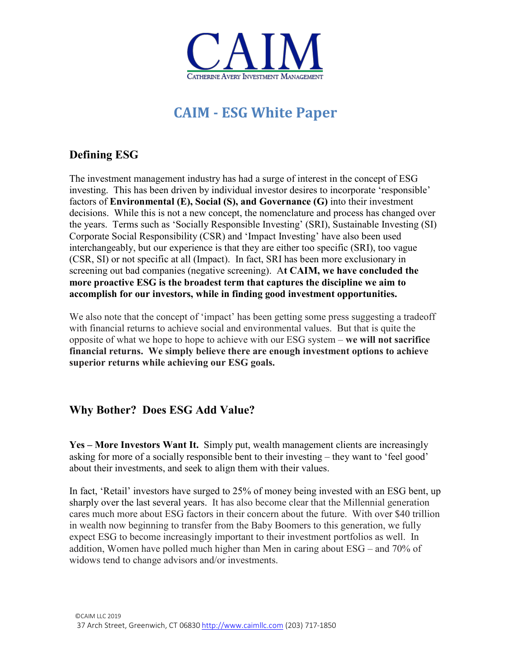

# **CAIM - ESG White Paper**

# **Defining ESG**

The investment management industry has had a surge of interest in the concept of ESG investing. This has been driven by individual investor desires to incorporate 'responsible' factors of **Environmental (E), Social (S), and Governance (G)** into their investment decisions. While this is not a new concept, the nomenclature and process has changed over the years. Terms such as 'Socially Responsible Investing' (SRI), Sustainable Investing (SI) Corporate Social Responsibility (CSR) and 'Impact Investing' have also been used interchangeably, but our experience is that they are either too specific (SRI), too vague (CSR, SI) or not specific at all (Impact). In fact, SRI has been more exclusionary in screening out bad companies (negative screening). A**t CAIM, we have concluded the more proactive ESG is the broadest term that captures the discipline we aim to accomplish for our investors, while in finding good investment opportunities.**

We also note that the concept of 'impact' has been getting some press suggesting a tradeoff with financial returns to achieve social and environmental values. But that is quite the opposite of what we hope to hope to achieve with our ESG system – **we will not sacrifice financial returns. We simply believe there are enough investment options to achieve superior returns while achieving our ESG goals.** 

## **Why Bother? Does ESG Add Value?**

**Yes – More Investors Want It.** Simply put, wealth management clients are increasingly asking for more of a socially responsible bent to their investing – they want to 'feel good' about their investments, and seek to align them with their values.

In fact, 'Retail' investors have surged to 25% of money being invested with an ESG bent, up sharply over the last several years. It has also become clear that the Millennial generation cares much more about ESG factors in their concern about the future. With over \$40 trillion in wealth now beginning to transfer from the Baby Boomers to this generation, we fully expect ESG to become increasingly important to their investment portfolios as well. In addition, Women have polled much higher than Men in caring about ESG – and 70% of widows tend to change advisors and/or investments.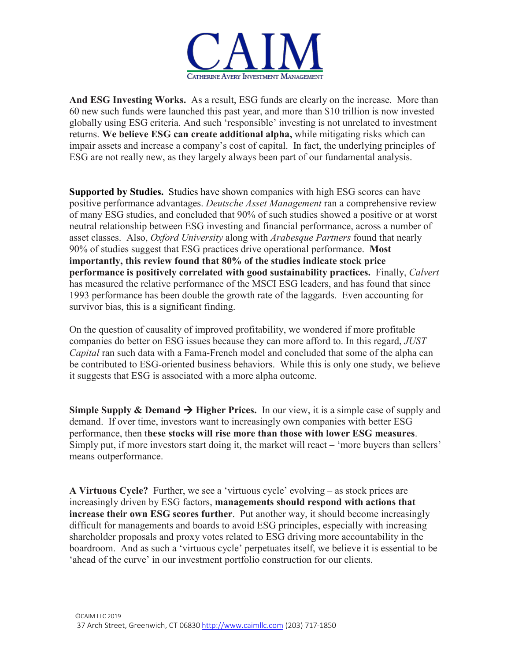

**And ESG Investing Works.** As a result, ESG funds are clearly on the increase. More than 60 new such funds were launched this past year, and more than \$10 trillion is now invested globally using ESG criteria. And such 'responsible' investing is not unrelated to investment returns. **We believe ESG can create additional alpha,** while mitigating risks which can impair assets and increase a company's cost of capital. In fact, the underlying principles of ESG are not really new, as they largely always been part of our fundamental analysis.

**Supported by Studies.** Studies have shown companies with high ESG scores can have positive performance advantages. *Deutsche Asset Management* ran a comprehensive review of many ESG studies, and concluded that 90% of such studies showed a positive or at worst neutral relationship between ESG investing and financial performance, across a number of asset classes. Also, *Oxford University* along with *Arabesque Partners* found that nearly 90% of studies suggest that ESG practices drive operational performance. **Most importantly, this review found that 80% of the studies indicate stock price performance is positively correlated with good sustainability practices.** Finally, *Calvert*  has measured the relative performance of the MSCI ESG leaders, and has found that since 1993 performance has been double the growth rate of the laggards. Even accounting for survivor bias, this is a significant finding.

On the question of causality of improved profitability, we wondered if more profitable companies do better on ESG issues because they can more afford to. In this regard, *JUST Capital* ran such data with a Fama-French model and concluded that some of the alpha can be contributed to ESG-oriented business behaviors. While this is only one study, we believe it suggests that ESG is associated with a more alpha outcome.

**Simple Supply & Demand**  $\rightarrow$  **Higher Prices.** In our view, it is a simple case of supply and demand. If over time, investors want to increasingly own companies with better ESG performance, then t**hese stocks will rise more than those with lower ESG measures**. Simply put, if more investors start doing it, the market will react – 'more buyers than sellers' means outperformance.

**A Virtuous Cycle?** Further, we see a 'virtuous cycle' evolving – as stock prices are increasingly driven by ESG factors, **managements should respond with actions that increase their own ESG scores further**. Put another way, it should become increasingly difficult for managements and boards to avoid ESG principles, especially with increasing shareholder proposals and proxy votes related to ESG driving more accountability in the boardroom. And as such a 'virtuous cycle' perpetuates itself, we believe it is essential to be 'ahead of the curve' in our investment portfolio construction for our clients.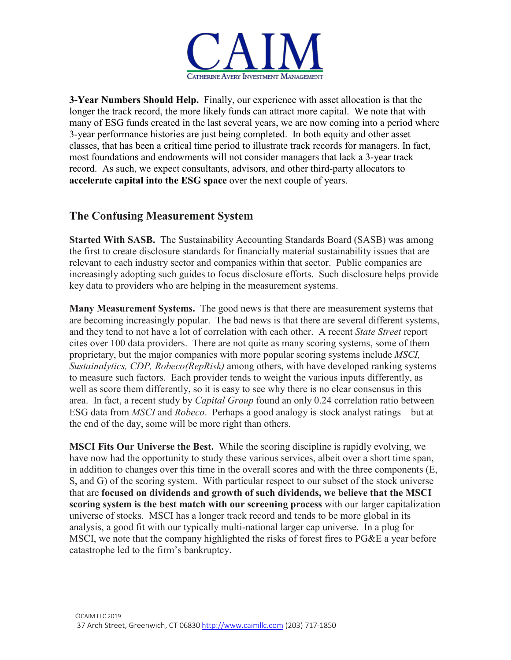

**3-Year Numbers Should Help.** Finally, our experience with asset allocation is that the longer the track record, the more likely funds can attract more capital. We note that with many of ESG funds created in the last several years, we are now coming into a period where 3-year performance histories are just being completed. In both equity and other asset classes, that has been a critical time period to illustrate track records for managers. In fact, most foundations and endowments will not consider managers that lack a 3-year track record. As such, we expect consultants, advisors, and other third-party allocators to **accelerate capital into the ESG space** over the next couple of years.

### **The Confusing Measurement System**

**Started With SASB.** The Sustainability Accounting Standards Board (SASB) was among the first to create disclosure standards for financially material sustainability issues that are relevant to each industry sector and companies within that sector. Public companies are increasingly adopting such guides to focus disclosure efforts. Such disclosure helps provide key data to providers who are helping in the measurement systems.

**Many Measurement Systems.** The good news is that there are measurement systems that are becoming increasingly popular. The bad news is that there are several different systems, and they tend to not have a lot of correlation with each other. A recent *State Street* report cites over 100 data providers. There are not quite as many scoring systems, some of them proprietary, but the major companies with more popular scoring systems include *MSCI, Sustainalytics, CDP, Robeco(RepRisk)* among others, with have developed ranking systems to measure such factors. Each provider tends to weight the various inputs differently, as well as score them differently, so it is easy to see why there is no clear consensus in this area. In fact, a recent study by *Capital Group* found an only 0.24 correlation ratio between ESG data from *MSCI* and *Robeco*. Perhaps a good analogy is stock analyst ratings – but at the end of the day, some will be more right than others.

**MSCI Fits Our Universe the Best.** While the scoring discipline is rapidly evolving, we have now had the opportunity to study these various services, albeit over a short time span, in addition to changes over this time in the overall scores and with the three components (E, S, and G) of the scoring system. With particular respect to our subset of the stock universe that are **focused on dividends and growth of such dividends, we believe that the MSCI scoring system is the best match with our screening process** with our larger capitalization universe of stocks. MSCI has a longer track record and tends to be more global in its analysis, a good fit with our typically multi-national larger cap universe. In a plug for MSCI, we note that the company highlighted the risks of forest fires to PG&E a year before catastrophe led to the firm's bankruptcy.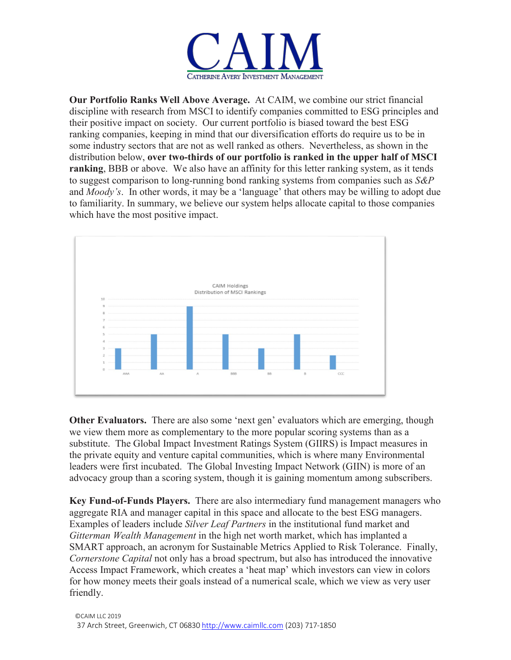

**Our Portfolio Ranks Well Above Average.** At CAIM, we combine our strict financial discipline with research from MSCI to identify companies committed to ESG principles and their positive impact on society. Our current portfolio is biased toward the best ESG ranking companies, keeping in mind that our diversification efforts do require us to be in some industry sectors that are not as well ranked as others. Nevertheless, as shown in the distribution below, **over two-thirds of our portfolio is ranked in the upper half of MSCI ranking**, BBB or above. We also have an affinity for this letter ranking system, as it tends to suggest comparison to long-running bond ranking systems from companies such as *S&P* and *Moody's*. In other words, it may be a 'language' that others may be willing to adopt due to familiarity. In summary, we believe our system helps allocate capital to those companies which have the most positive impact.



**Other Evaluators.** There are also some 'next gen' evaluators which are emerging, though we view them more as complementary to the more popular scoring systems than as a substitute. The Global Impact Investment Ratings System (GIIRS) is Impact measures in the private equity and venture capital communities, which is where many Environmental leaders were first incubated. The Global Investing Impact Network (GIIN) is more of an advocacy group than a scoring system, though it is gaining momentum among subscribers.

**Key Fund-of-Funds Players.** There are also intermediary fund management managers who aggregate RIA and manager capital in this space and allocate to the best ESG managers. Examples of leaders include *Silver Leaf Partners* in the institutional fund market and *Gitterman Wealth Management* in the high net worth market, which has implanted a SMART approach, an acronym for Sustainable Metrics Applied to Risk Tolerance. Finally, *Cornerstone Capital* not only has a broad spectrum, but also has introduced the innovative Access Impact Framework, which creates a 'heat map' which investors can view in colors for how money meets their goals instead of a numerical scale, which we view as very user friendly.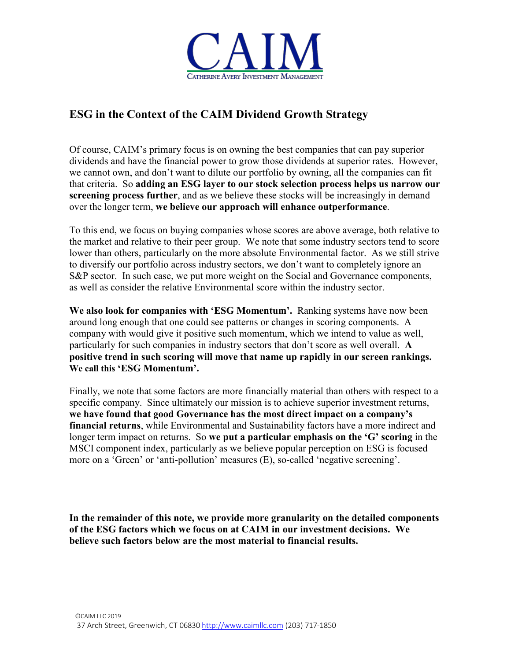

# **ESG in the Context of the CAIM Dividend Growth Strategy**

Of course, CAIM's primary focus is on owning the best companies that can pay superior dividends and have the financial power to grow those dividends at superior rates. However, we cannot own, and don't want to dilute our portfolio by owning, all the companies can fit that criteria. So **adding an ESG layer to our stock selection process helps us narrow our screening process further**, and as we believe these stocks will be increasingly in demand over the longer term, **we believe our approach will enhance outperformance**.

To this end, we focus on buying companies whose scores are above average, both relative to the market and relative to their peer group. We note that some industry sectors tend to score lower than others, particularly on the more absolute Environmental factor. As we still strive to diversify our portfolio across industry sectors, we don't want to completely ignore an S&P sector. In such case, we put more weight on the Social and Governance components, as well as consider the relative Environmental score within the industry sector.

**We also look for companies with 'ESG Momentum'.** Ranking systems have now been around long enough that one could see patterns or changes in scoring components. A company with would give it positive such momentum, which we intend to value as well, particularly for such companies in industry sectors that don't score as well overall. **A positive trend in such scoring will move that name up rapidly in our screen rankings. We call this 'ESG Momentum'.**

Finally, we note that some factors are more financially material than others with respect to a specific company. Since ultimately our mission is to achieve superior investment returns, **we have found that good Governance has the most direct impact on a company's financial returns**, while Environmental and Sustainability factors have a more indirect and longer term impact on returns. So **we put a particular emphasis on the 'G' scoring** in the MSCI component index, particularly as we believe popular perception on ESG is focused more on a 'Green' or 'anti-pollution' measures (E), so-called 'negative screening'.

**In the remainder of this note, we provide more granularity on the detailed components of the ESG factors which we focus on at CAIM in our investment decisions. We believe such factors below are the most material to financial results.**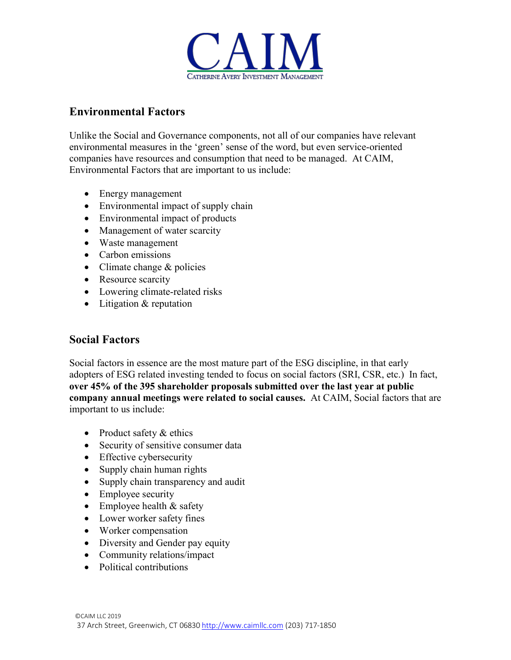

#### **Environmental Factors**

Unlike the Social and Governance components, not all of our companies have relevant environmental measures in the 'green' sense of the word, but even service-oriented companies have resources and consumption that need to be managed. At CAIM, Environmental Factors that are important to us include:

- Energy management
- Environmental impact of supply chain
- Environmental impact of products
- Management of water scarcity
- Waste management
- Carbon emissions
- Climate change & policies
- Resource scarcity
- Lowering climate-related risks
- Litigation & reputation

#### **Social Factors**

Social factors in essence are the most mature part of the ESG discipline, in that early adopters of ESG related investing tended to focus on social factors (SRI, CSR, etc.) In fact, **over 45% of the 395 shareholder proposals submitted over the last year at public company annual meetings were related to social causes.** At CAIM, Social factors that are important to us include:

- Product safety & ethics
- Security of sensitive consumer data
- Effective cybersecurity
- Supply chain human rights
- Supply chain transparency and audit
- Employee security
- Employee health & safety
- Lower worker safety fines
- Worker compensation
- Diversity and Gender pay equity
- Community relations/impact
- Political contributions